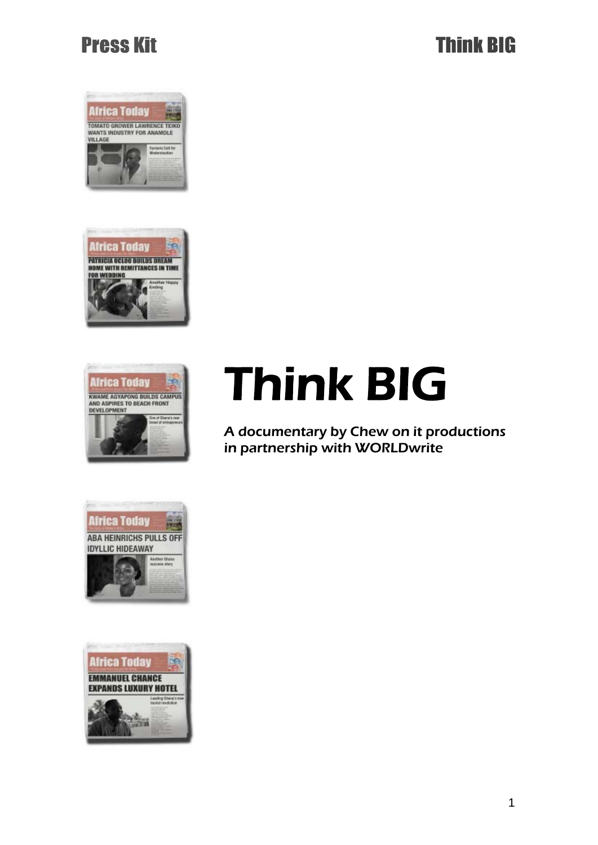# **Think BIG**







# Think BIG

A documentary by Chew on it productions in partnership with WORLDwrite



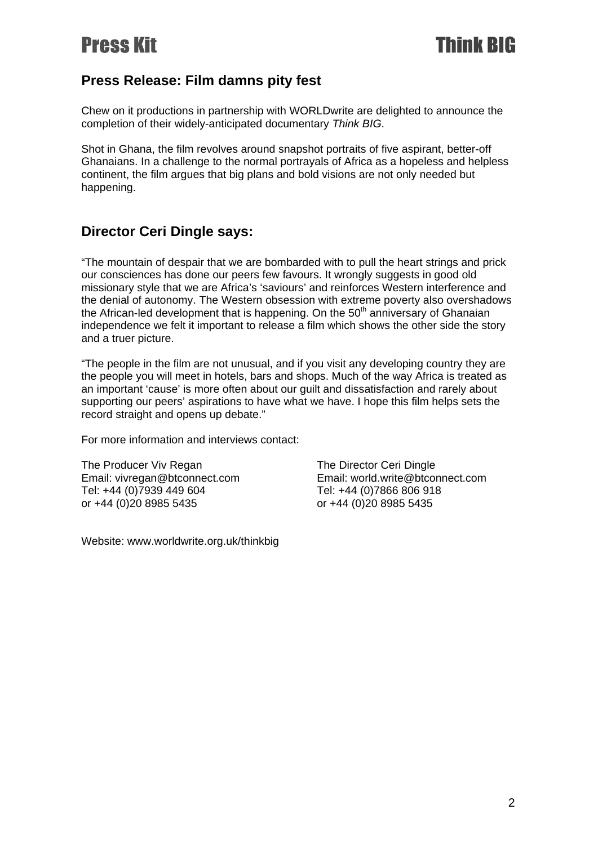### **Press Release: Film damns pity fest**

Chew on it productions in partnership with WORLDwrite are delighted to announce the completion of their widely-anticipated documentary *Think BIG*.

Shot in Ghana, the film revolves around snapshot portraits of five aspirant, better-off Ghanaians. In a challenge to the normal portrayals of Africa as a hopeless and helpless continent, the film argues that big plans and bold visions are not only needed but happening.

### **Director Ceri Dingle says:**

"The mountain of despair that we are bombarded with to pull the heart strings and prick our consciences has done our peers few favours. It wrongly suggests in good old missionary style that we are Africa's 'saviours' and reinforces Western interference and the denial of autonomy. The Western obsession with extreme poverty also overshadows the African-led development that is happening. On the  $50<sup>th</sup>$  anniversary of Ghanaian independence we felt it important to release a film which shows the other side the story and a truer picture.

"The people in the film are not unusual, and if you visit any developing country they are the people you will meet in hotels, bars and shops. Much of the way Africa is treated as an important 'cause' is more often about our guilt and dissatisfaction and rarely about supporting our peers' aspirations to have what we have. I hope this film helps sets the record straight and opens up debate."

For more information and interviews contact:

The Producer Viv Regan Email: vivregan@btconnect.com Tel: +44 (0)7939 449 604 or +44 (0)20 8985 5435

Website: www.worldwrite.org.uk/thinkbig

The Director Ceri Dingle Email: world.write@btconnect.com Tel: +44 (0)7866 806 918 or +44 (0)20 8985 5435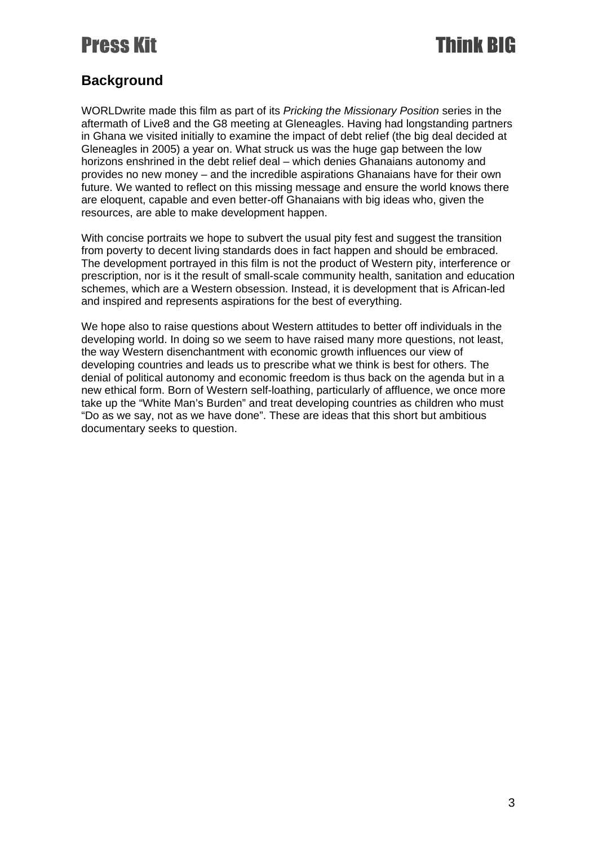# Think BIG

### **Background**

WORLDwrite made this film as part of its *Pricking the Missionary Position* series in the aftermath of Live8 and the G8 meeting at Gleneagles. Having had longstanding partners in Ghana we visited initially to examine the impact of debt relief (the big deal decided at Gleneagles in 2005) a year on. What struck us was the huge gap between the low horizons enshrined in the debt relief deal – which denies Ghanaians autonomy and provides no new money – and the incredible aspirations Ghanaians have for their own future. We wanted to reflect on this missing message and ensure the world knows there are eloquent, capable and even better-off Ghanaians with big ideas who, given the resources, are able to make development happen.

With concise portraits we hope to subvert the usual pity fest and suggest the transition from poverty to decent living standards does in fact happen and should be embraced. The development portrayed in this film is not the product of Western pity, interference or prescription, nor is it the result of small-scale community health, sanitation and education schemes, which are a Western obsession. Instead, it is development that is African-led and inspired and represents aspirations for the best of everything.

We hope also to raise questions about Western attitudes to better off individuals in the developing world. In doing so we seem to have raised many more questions, not least, the way Western disenchantment with economic growth influences our view of developing countries and leads us to prescribe what we think is best for others. The denial of political autonomy and economic freedom is thus back on the agenda but in a new ethical form. Born of Western self-loathing, particularly of affluence, we once more take up the "White Man's Burden" and treat developing countries as children who must "Do as we say, not as we have done". These are ideas that this short but ambitious documentary seeks to question.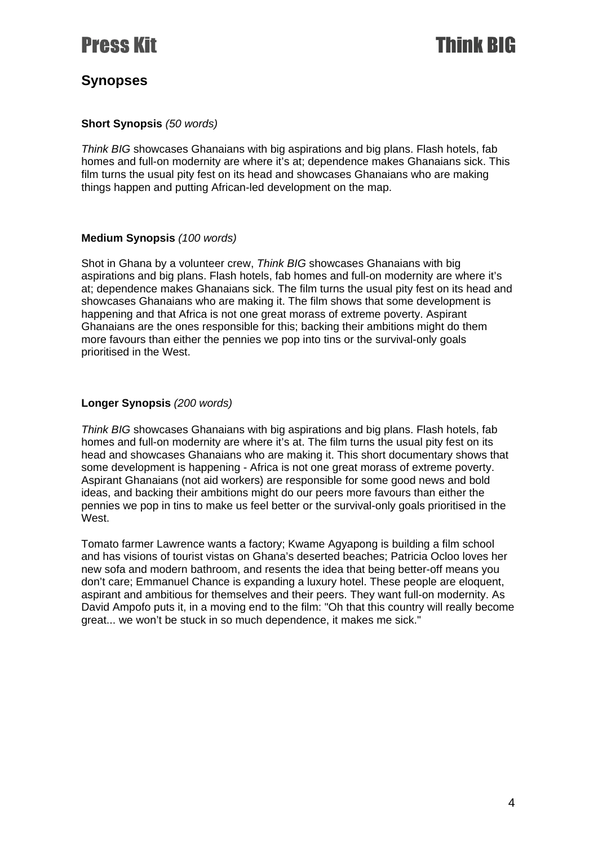

### Think RIG

### **Synopses**

#### **Short Synopsis** *(50 words)*

*Think BIG* showcases Ghanaians with big aspirations and big plans. Flash hotels, fab homes and full-on modernity are where it's at; dependence makes Ghanaians sick. This film turns the usual pity fest on its head and showcases Ghanaians who are making things happen and putting African-led development on the map.

#### **Medium Synopsis** *(100 words)*

Shot in Ghana by a volunteer crew, *Think BIG* showcases Ghanaians with big aspirations and big plans. Flash hotels, fab homes and full-on modernity are where it's at; dependence makes Ghanaians sick. The film turns the usual pity fest on its head and showcases Ghanaians who are making it. The film shows that some development is happening and that Africa is not one great morass of extreme poverty. Aspirant Ghanaians are the ones responsible for this; backing their ambitions might do them more favours than either the pennies we pop into tins or the survival-only goals prioritised in the West.

#### **Longer Synopsis** *(200 words)*

*Think BIG* showcases Ghanaians with big aspirations and big plans. Flash hotels, fab homes and full-on modernity are where it's at. The film turns the usual pity fest on its head and showcases Ghanaians who are making it. This short documentary shows that some development is happening - Africa is not one great morass of extreme poverty. Aspirant Ghanaians (not aid workers) are responsible for some good news and bold ideas, and backing their ambitions might do our peers more favours than either the pennies we pop in tins to make us feel better or the survival-only goals prioritised in the West.

Tomato farmer Lawrence wants a factory; Kwame Agyapong is building a film school and has visions of tourist vistas on Ghana's deserted beaches; Patricia Ocloo loves her new sofa and modern bathroom, and resents the idea that being better-off means you don't care; Emmanuel Chance is expanding a luxury hotel. These people are eloquent, aspirant and ambitious for themselves and their peers. They want full-on modernity. As David Ampofo puts it, in a moving end to the film: "Oh that this country will really become great... we won't be stuck in so much dependence, it makes me sick."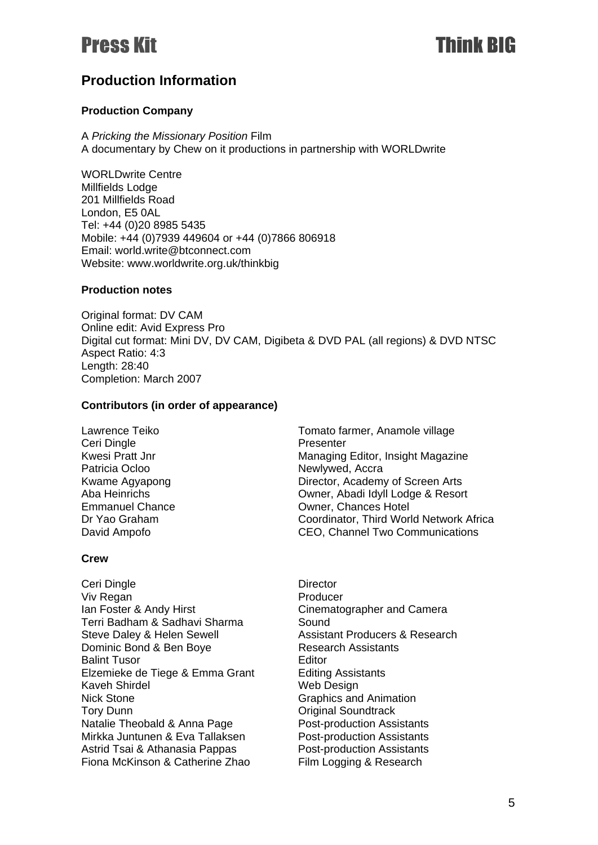# Think RIG

### **Production Information**

#### **Production Company**

A *Pricking the Missionary Position* Film A documentary by Chew on it productions in partnership with WORLDwrite

WORLDwrite Centre Millfields Lodge 201 Millfields Road London, E5 0AL Tel: +44 (0)20 8985 5435 Mobile: +44 (0)7939 449604 or +44 (0)7866 806918 Email: world.write@btconnect.com Website: www.worldwrite.org.uk/thinkbig

#### **Production notes**

Original format: DV CAM Online edit: Avid Express Pro Digital cut format: Mini DV, DV CAM, Digibeta & DVD PAL (all regions) & DVD NTSC Aspect Ratio: 4:3 Length: 28:40 Completion: March 2007

#### **Contributors (in order of appearance)**

Ceri Dingle<br>
Kwesi Pratt Jnr<br>
Kwesi Pratt Jnr Patricia Ocloo Newlywed, Accra

#### **Crew**

- Ceri Dingle **Director** Viv Regan<br>
lan Foster & Andy Hirst **Producer**<br>
Cinemato Terri Badham & Sadhavi Sharma Sound Steve Daley & Helen Sewell **Assistant Producers & Research** Dominic Bond & Ben Boye Research Assistants Balint Tusor **Editor Editor** Elzemieke de Tiege & Emma Grant Editing Assistants Kaveh Shirdel Web Design Nick Stone **Graphics** and Animation Tory Dunn **Tory Dunn Original Soundtrack** Natalie Theobald & Anna Page Post-production Assistants Mirkka Juntunen & Eva Tallaksen Post-production Assistants Astrid Tsai & Athanasia Pappas Post-production Assistants Fiona McKinson & Catherine Zhao Film Logging & Research
- Lawrence Teiko Tomato farmer, Anamole village Managing Editor, Insight Magazine Kwame Agyapong **Director, Academy of Screen Arts** Aba Heinrichs Owner, Abadi Idyll Lodge & Resort Emmanuel Chance **Chance Communist Chances** Hotel Dr Yao Graham Coordinator, Third World Network Africa David Ampofo CEO, Channel Two Communications
	- Cinematographer and Camera